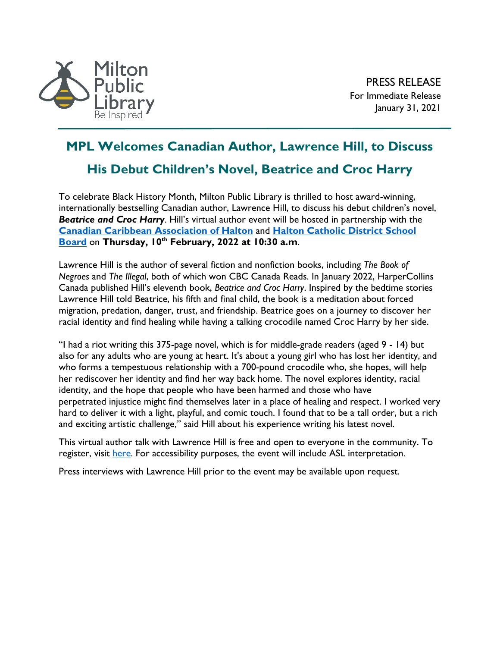

## **MPL Welcomes Canadian Author, Lawrence Hill, to Discuss**

## **His Debut Children's Novel, Beatrice and Croc Harry**

To celebrate Black History Month, Milton Public Library is thrilled to host award-winning, internationally bestselling Canadian author, Lawrence Hill, to discuss his debut children's novel, *Beatrice and Croc Harry*. Hill's virtual author event will be hosted in partnership with the **[Canadian Caribbean Association of Halton](https://www.ccah.ca/)** and **[Halton Catholic District School](https://www.hcdsb.org/)  [Board](https://www.hcdsb.org/)** on **Thursday, 10th February, 2022 at 10:30 a.m**.

Lawrence Hill is the author of several fiction and nonfiction books, including *The Book of Negroes* and *The Illegal*, both of which won CBC Canada Reads. In January 2022, HarperCollins Canada published Hill's eleventh book, *Beatrice and Croc Harry*. Inspired by the bedtime stories Lawrence Hill told Beatrice, his fifth and final child, the book is a meditation about forced migration, predation, danger, trust, and friendship. Beatrice goes on a journey to discover her racial identity and find healing while having a talking crocodile named Croc Harry by her side.

"I had a riot writing this 375-page novel, which is for middle-grade readers (aged 9 - 14) but also for any adults who are young at heart. It's about a young girl who has lost her identity, and who forms a tempestuous relationship with a 700-pound crocodile who, she hopes, will help her rediscover her identity and find her way back home. The novel explores identity, racial identity, and the hope that people who have been harmed and those who have perpetrated injustice might find themselves later in a place of healing and respect. I worked very hard to deliver it with a light, playful, and comic touch. I found that to be a tall order, but a rich and exciting artistic challenge," said Hill about his experience writing his latest novel.

This virtual author talk with Lawrence Hill is free and open to everyone in the community. To register, visit [here.](https://www.crowdcast.io/e/black-history-month/register?utm_source=profile&utm_medium=profile_web&utm_campaign=profile) For accessibility purposes, the event will include ASL interpretation.

Press interviews with Lawrence Hill prior to the event may be available upon request.